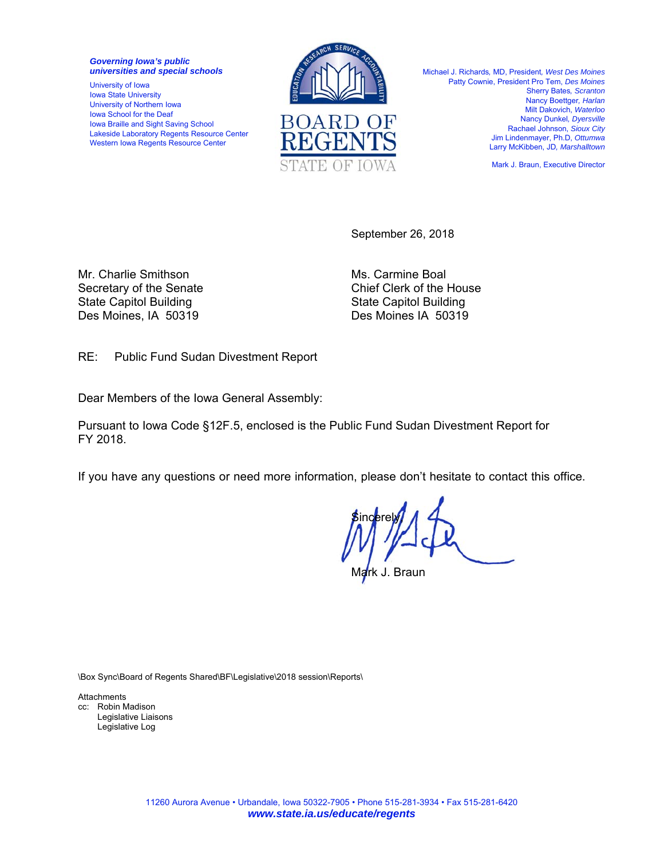*Governing Iowa's public universities and special schools* 

University of Iowa Iowa State University University of Northern Iowa Iowa School for the Deaf Iowa Braille and Sight Saving School Lakeside Laboratory Regents Resource Center Western Iowa Regents Resource Center



Michael J. Richards*,* MD, President*, West Des Moines*  Patty Cownie, President Pro Tem, *Des Moines* Sherry Bates*, Scranton*  Nancy Boettger*, Harlan*  Milt Dakovich, *Waterloo*  Nancy Dunkel*, Dyersville*  Rachael Johnson, *Sioux City*  Jim Lindenmayer, Ph.D, *Ottumwa*  Larry McKibben, JD*, Marshalltown* 

Mark J. Braun, Executive Director

September 26, 2018

Mr. Charlie Smithson Ms. Carmine Boal State Capitol Building State Capitol Building Des Moines, IA 50319 Des Moines IA 50319

Secretary of the Senate Chief Clerk of the House

RE: Public Fund Sudan Divestment Report

Dear Members of the Iowa General Assembly:

Pursuant to Iowa Code §12F.5, enclosed is the Public Fund Sudan Divestment Report for FY 2018.

If you have any questions or need more information, please don't hesitate to contact this office.

**Sincerely** J. Braun

\Box Sync\Board of Regents Shared\BF\Legislative\2018 session\Reports\

**Attachments** cc: Robin Madison Legislative Liaisons Legislative Log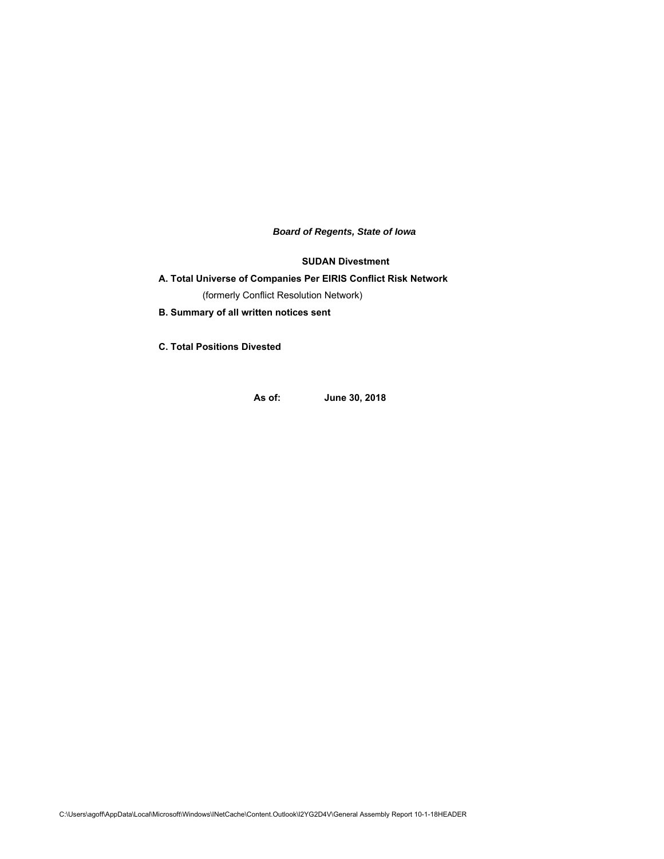*Board of Regents, State of Iowa*

**SUDAN Divestment**

# **A. Total Universe of Companies Per EIRIS Conflict Risk Network**  (formerly Conflict Resolution Network)

**B. Summary of all written notices sent** 

**C. Total Positions Divested**

**As of: June 30, 2018**

C:\Users\agoff\AppData\Local\Microsoft\Windows\INetCache\Content.Outlook\I2YG2D4V\General Assembly Report 10-1-18HEADER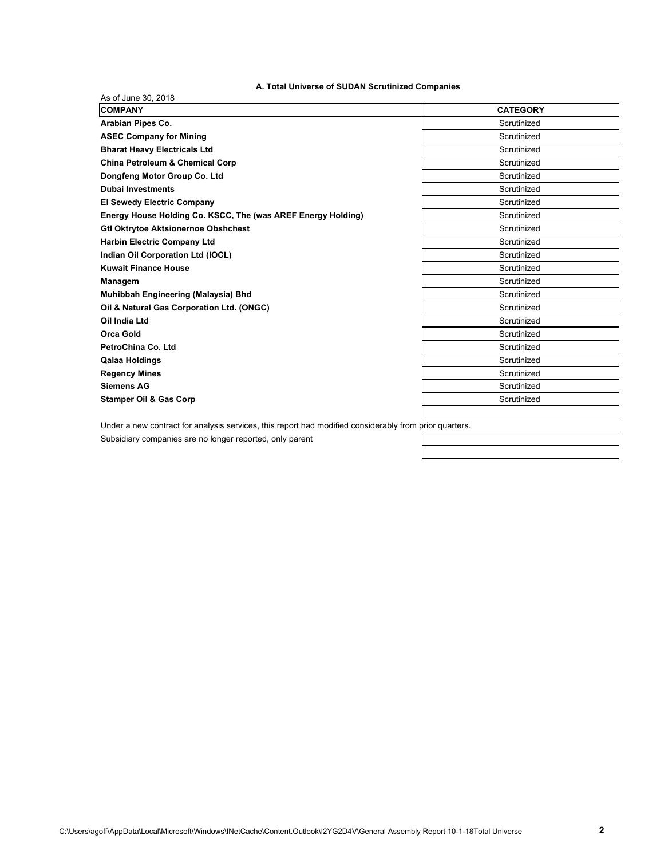# **A. Total Universe of SUDAN Scrutinized Companies**

| <b>COMPANY</b>                                                                                         | <b>CATEGORY</b> |
|--------------------------------------------------------------------------------------------------------|-----------------|
| Arabian Pipes Co.                                                                                      | Scrutinized     |
| <b>ASEC Company for Mining</b>                                                                         | Scrutinized     |
| <b>Bharat Heavy Electricals Ltd</b>                                                                    | Scrutinized     |
| China Petroleum & Chemical Corp                                                                        | Scrutinized     |
| Dongfeng Motor Group Co. Ltd                                                                           | Scrutinized     |
| <b>Dubai Investments</b>                                                                               | Scrutinized     |
| <b>El Sewedy Electric Company</b>                                                                      | Scrutinized     |
| Energy House Holding Co. KSCC, The (was AREF Energy Holding)                                           | Scrutinized     |
| <b>Gtl Oktrytoe Aktsionernoe Obshchest</b>                                                             | Scrutinized     |
| <b>Harbin Electric Company Ltd</b>                                                                     | Scrutinized     |
| Indian Oil Corporation Ltd (IOCL)                                                                      | Scrutinized     |
| <b>Kuwait Finance House</b>                                                                            | Scrutinized     |
| Managem                                                                                                | Scrutinized     |
| Muhibbah Engineering (Malaysia) Bhd                                                                    | Scrutinized     |
| Oil & Natural Gas Corporation Ltd. (ONGC)                                                              | Scrutinized     |
| Oil India Ltd                                                                                          | Scrutinized     |
| <b>Orca Gold</b>                                                                                       | Scrutinized     |
| PetroChina Co. Ltd.                                                                                    | Scrutinized     |
| <b>Qalaa Holdings</b>                                                                                  | Scrutinized     |
| <b>Regency Mines</b>                                                                                   | Scrutinized     |
| <b>Siemens AG</b>                                                                                      | Scrutinized     |
| <b>Stamper Oil &amp; Gas Corp</b>                                                                      | Scrutinized     |
| Under a new contract for analysis services, this report had modified considerably from prior quarters. |                 |
| Subsidiary companies are no longer reported, only parent                                               |                 |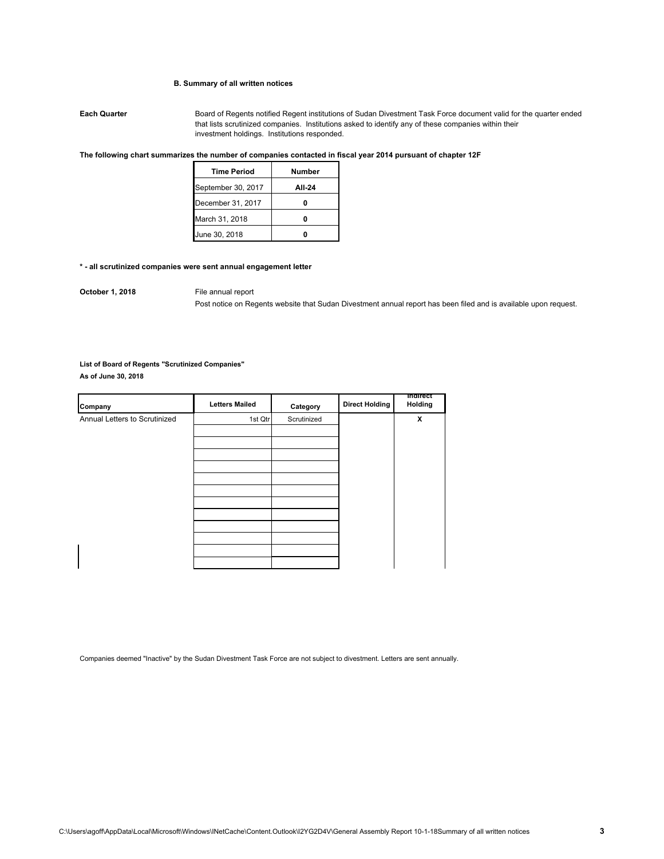## **B. Summary of all written notices**

**Each Quarter** Board of Regents notified Regent institutions of Sudan Divestment Task Force document valid for the quarter ended that lists scrutinized companies. Institutions asked to identify any of these companies within their investment holdings. Institutions responded.

### **The following chart summarizes the number of companies contacted in fiscal year 2014 pursuant of chapter 12F**

| <b>Time Period</b> | Number |
|--------------------|--------|
| September 30, 2017 | AII-24 |
| December 31, 2017  |        |
| March 31, 2018     |        |
| June 30, 2018      |        |

## **\* - all scrutinized companies were sent annual engagement letter**

**October 1, 2018** File annual report

Post notice on Regents website that Sudan Divestment annual report has been filed and is available upon request.

## **List of Board of Regents "Scrutinized Companies"**

**As of June 30, 2018**

| Company                       | <b>Letters Mailed</b> | Category    | <b>Direct Holding</b> | mairect<br>Holding |
|-------------------------------|-----------------------|-------------|-----------------------|--------------------|
| Annual Letters to Scrutinized | 1st Qtr               | Scrutinized |                       | X                  |
|                               |                       |             |                       |                    |
|                               |                       |             |                       |                    |
|                               |                       |             |                       |                    |
|                               |                       |             |                       |                    |
|                               |                       |             |                       |                    |
|                               |                       |             |                       |                    |
|                               |                       |             |                       |                    |
|                               |                       |             |                       |                    |
|                               |                       |             |                       |                    |
|                               |                       |             |                       |                    |
|                               |                       |             |                       |                    |
|                               |                       |             |                       |                    |

Companies deemed "Inactive" by the Sudan Divestment Task Force are not subject to divestment. Letters are sent annually.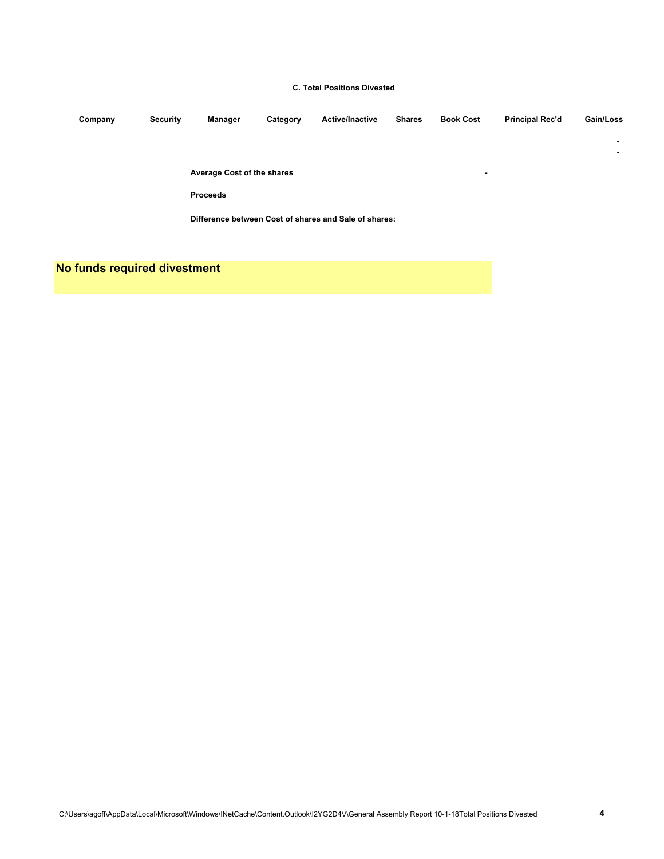## **C. Total Positions Divested**

| Company | <b>Security</b> | Manager                    | Category | <b>Active/Inactive</b>                                | <b>Shares</b> | <b>Book Cost</b>         | <b>Principal Rec'd</b> | Gain/Loss                |
|---------|-----------------|----------------------------|----------|-------------------------------------------------------|---------------|--------------------------|------------------------|--------------------------|
|         |                 |                            |          |                                                       |               |                          |                        | $\overline{\phantom{a}}$ |
|         |                 |                            |          |                                                       |               |                          |                        | $\overline{\phantom{a}}$ |
|         |                 | Average Cost of the shares |          |                                                       |               | $\overline{\phantom{0}}$ |                        |                          |
|         |                 | <b>Proceeds</b>            |          |                                                       |               |                          |                        |                          |
|         |                 |                            |          | Difference between Cost of shares and Sale of shares: |               |                          |                        |                          |

**No funds required divestment**